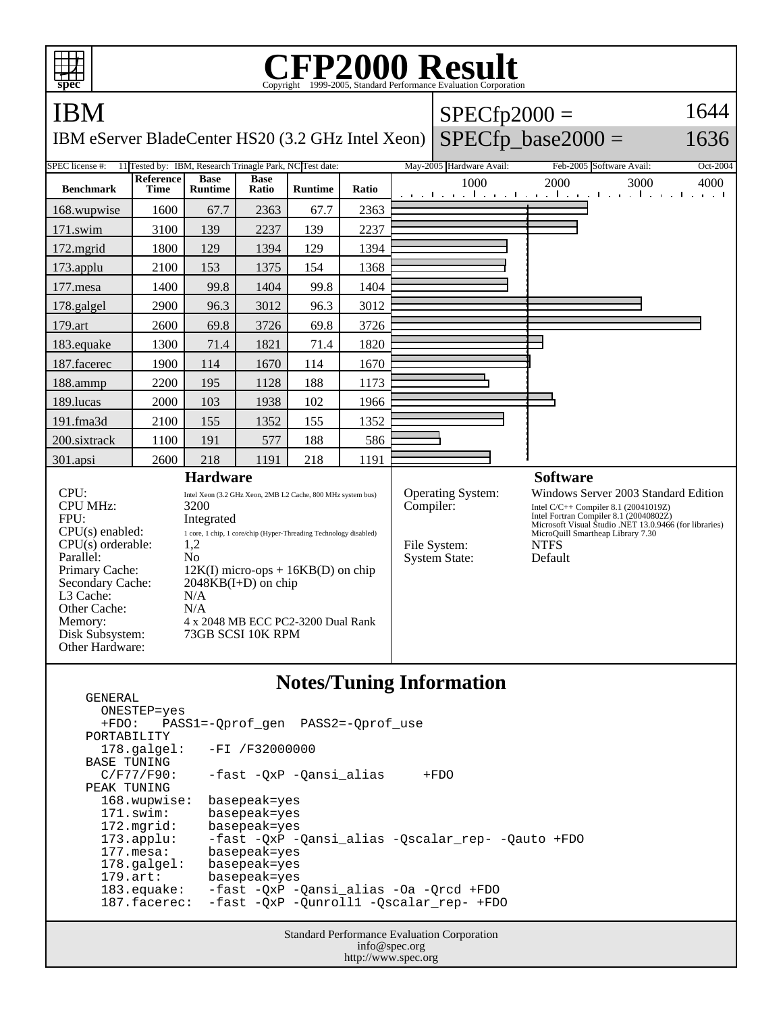| <b>CFP2000 Result</b><br>Copyright ©1999-2005, Standard Performance Evaluation Corporation<br>spec                                                                                                                       |                                 |                                                                                                                                                                                                                                                                                                                             |                      |                |       |  |                                                                        |                                                                                                                                                                                                                                                 |          |
|--------------------------------------------------------------------------------------------------------------------------------------------------------------------------------------------------------------------------|---------------------------------|-----------------------------------------------------------------------------------------------------------------------------------------------------------------------------------------------------------------------------------------------------------------------------------------------------------------------------|----------------------|----------------|-------|--|------------------------------------------------------------------------|-------------------------------------------------------------------------------------------------------------------------------------------------------------------------------------------------------------------------------------------------|----------|
| <b>IBM</b>                                                                                                                                                                                                               |                                 |                                                                                                                                                                                                                                                                                                                             |                      |                |       |  | $SPECfp2000 =$                                                         |                                                                                                                                                                                                                                                 |          |
| $SPECfp\_base2000 =$<br>1636<br>IBM eServer BladeCenter HS20 (3.2 GHz Intel Xeon)                                                                                                                                        |                                 |                                                                                                                                                                                                                                                                                                                             |                      |                |       |  |                                                                        |                                                                                                                                                                                                                                                 |          |
| 11 Tested by: IBM, Research Trinagle Park, NC Test date:<br>SPEC license #:                                                                                                                                              |                                 |                                                                                                                                                                                                                                                                                                                             |                      |                |       |  | May-2005 Hardware Avail:                                               | Feb-2005 Software Avail:                                                                                                                                                                                                                        | Oct-2004 |
| <b>Benchmark</b>                                                                                                                                                                                                         | <b>Reference</b><br><b>Time</b> | <b>Base</b><br><b>Runtime</b>                                                                                                                                                                                                                                                                                               | <b>Base</b><br>Ratio | <b>Runtime</b> | Ratio |  | 1000                                                                   | 2000<br>3000<br>المتواطن وماعتوه المتواصلة والمتواطن والمتواطنة                                                                                                                                                                                 | 4000     |
| 168.wupwise                                                                                                                                                                                                              | 1600                            | 67.7                                                                                                                                                                                                                                                                                                                        | 2363                 | 67.7           | 2363  |  |                                                                        |                                                                                                                                                                                                                                                 |          |
| $171$ .swim                                                                                                                                                                                                              | 3100                            | 139                                                                                                                                                                                                                                                                                                                         | 2237                 | 139            | 2237  |  |                                                                        |                                                                                                                                                                                                                                                 |          |
| 172.mgrid                                                                                                                                                                                                                | 1800                            | 129                                                                                                                                                                                                                                                                                                                         | 1394                 | 129            | 1394  |  |                                                                        |                                                                                                                                                                                                                                                 |          |
| 173.applu                                                                                                                                                                                                                | 2100                            | 153                                                                                                                                                                                                                                                                                                                         | 1375                 | 154            | 1368  |  |                                                                        |                                                                                                                                                                                                                                                 |          |
| 177.mesa                                                                                                                                                                                                                 | 1400                            | 99.8                                                                                                                                                                                                                                                                                                                        | 1404                 | 99.8           | 1404  |  |                                                                        |                                                                                                                                                                                                                                                 |          |
| 178.galgel                                                                                                                                                                                                               | 2900                            | 96.3                                                                                                                                                                                                                                                                                                                        | 3012                 | 96.3           | 3012  |  |                                                                        |                                                                                                                                                                                                                                                 |          |
| 179.art                                                                                                                                                                                                                  | 2600                            | 69.8                                                                                                                                                                                                                                                                                                                        | 3726                 | 69.8           | 3726  |  |                                                                        |                                                                                                                                                                                                                                                 |          |
| 183.equake                                                                                                                                                                                                               | 1300                            | 71.4                                                                                                                                                                                                                                                                                                                        | 1821                 | 71.4           | 1820  |  |                                                                        |                                                                                                                                                                                                                                                 |          |
| 187.facerec                                                                                                                                                                                                              | 1900                            | 114                                                                                                                                                                                                                                                                                                                         | 1670                 | 114            | 1670  |  |                                                                        |                                                                                                                                                                                                                                                 |          |
| 188.ammp                                                                                                                                                                                                                 | 2200                            | 195                                                                                                                                                                                                                                                                                                                         | 1128                 | 188            | 1173  |  |                                                                        |                                                                                                                                                                                                                                                 |          |
| 189.lucas                                                                                                                                                                                                                | 2000                            | 103                                                                                                                                                                                                                                                                                                                         | 1938                 | 102            | 1966  |  |                                                                        |                                                                                                                                                                                                                                                 |          |
| 191.fma3d                                                                                                                                                                                                                | 2100                            | 155                                                                                                                                                                                                                                                                                                                         | 1352                 | 155            | 1352  |  |                                                                        |                                                                                                                                                                                                                                                 |          |
| 200.sixtrack                                                                                                                                                                                                             | 1100                            | 191                                                                                                                                                                                                                                                                                                                         | 577                  | 188            | 586   |  |                                                                        |                                                                                                                                                                                                                                                 |          |
| 301.apsi                                                                                                                                                                                                                 | 2600                            | 218                                                                                                                                                                                                                                                                                                                         | 1191                 | 218            | 1191  |  |                                                                        |                                                                                                                                                                                                                                                 |          |
| <b>Hardware</b>                                                                                                                                                                                                          |                                 |                                                                                                                                                                                                                                                                                                                             |                      |                |       |  |                                                                        | <b>Software</b>                                                                                                                                                                                                                                 |          |
| CPU:<br><b>CPU MHz:</b><br>FPU:<br>$CPU(s)$ enabled:<br>$CPU(s)$ orderable:<br>Parallel:<br>Primary Cache:<br>Secondary Cache:<br>L <sub>3</sub> Cache:<br>Other Cache:<br>Memory:<br>Disk Subsystem:<br>Other Hardware: |                                 | Intel Xeon (3.2 GHz Xeon, 2MB L2 Cache, 800 MHz system bus)<br>3200<br>Integrated<br>1 core, 1 chip, 1 core/chip (Hyper-Threading Technology disabled)<br>1,2<br>N <sub>0</sub><br>$12K(I)$ micro-ops + $16KB(D)$ on chip<br>$2048KB(I+D)$ on chip<br>N/A<br>N/A<br>4 x 2048 MB ECC PC2-3200 Dual Rank<br>73GB SCSI 10K RPM |                      |                |       |  | Operating System:<br>Compiler:<br>File System:<br><b>System State:</b> | Windows Server 2003 Standard Edition<br>Intel C/C++ Compiler 8.1 (20041019Z)<br>Intel Fortran Compiler 8.1 (20040802Z)<br>Microsoft Visual Studio .NET 13.0.9466 (for libraries)<br>MicroQuill Smartheap Library 7.30<br><b>NTFS</b><br>Default |          |
|                                                                                                                                                                                                                          |                                 |                                                                                                                                                                                                                                                                                                                             |                      |                |       |  |                                                                        |                                                                                                                                                                                                                                                 |          |

## **Notes/Tuning Information**

GENERAL

Standard Performance Evaluation Corporation info@spec.org ONESTEP=yes<br>+FDO: PAS; PASS1=-Qprof\_gen PASS2=-Qprof\_use PORTABILITY<br>178.galgel: -FI /F32000000 BASE TUNING<br>C/F77/F90: -fast -QxP -Qansi\_alias +FDO PEAK TUNING 168.wupwise: basepeak=yes 171.swim: basepeak=yes<br>172.mgrid: basepeak=yes 172.mgrid: basepeak=yes<br>173.applu: -fast -QxP - 173.applu: -fast -QxP -Qansi\_alias -Qscalar\_rep- -Qauto +FDO 177.mesa: basepeak=yes<br>178.galgel: basepeak=yes 178.galgel: basepeak=yes<br>179.art: basepeak=yes basepeak=yes 183.equake: -fast -QxP -Qansi\_alias -Oa -Qrcd +FDO 187.facerec: -fast -QxP -Qunroll1 -Qscalar\_rep- +FDO

http://www.spec.org